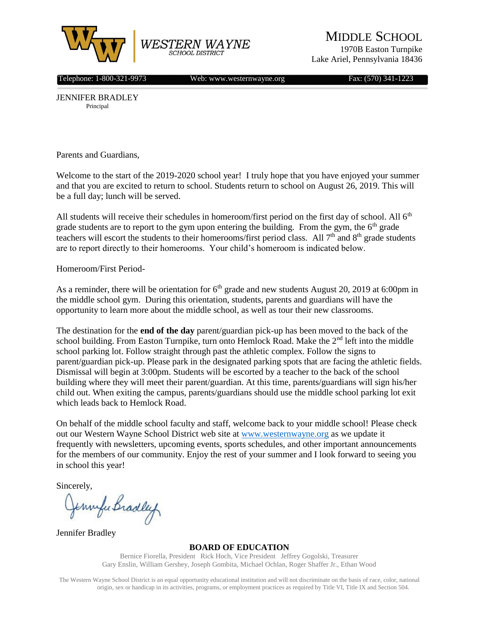

MIDDLE SCHOOL

1970B Easton Turnpike Lake Ariel, Pennsylvania 18436

Telephone: 1-800-321-9973 Web: www.westernwayne.org Fax: (570) 341-1223

JENNIFER BRADLEY Principal

Parents and Guardians,

Welcome to the start of the 2019-2020 school year! I truly hope that you have enjoyed your summer and that you are excited to return to school. Students return to school on August 26, 2019. This will be a full day; lunch will be served.

All students will receive their schedules in homeroom/first period on the first day of school. All  $6<sup>th</sup>$ grade students are to report to the gym upon entering the building. From the gym, the  $6<sup>th</sup>$  grade teachers will escort the students to their homerooms/first period class. All 7<sup>th</sup> and 8<sup>th</sup> grade students are to report directly to their homerooms. Your child's homeroom is indicated below.

Homeroom/First Period-

As a reminder, there will be orientation for  $6<sup>th</sup>$  grade and new students August 20, 2019 at 6:00pm in the middle school gym. During this orientation, students, parents and guardians will have the opportunity to learn more about the middle school, as well as tour their new classrooms.

The destination for the **end of the day** parent/guardian pick-up has been moved to the back of the school building. From Easton Turnpike, turn onto Hemlock Road. Make the  $2<sup>nd</sup>$  left into the middle school parking lot. Follow straight through past the athletic complex. Follow the signs to parent/guardian pick-up. Please park in the designated parking spots that are facing the athletic fields. Dismissal will begin at 3:00pm. Students will be escorted by a teacher to the back of the school building where they will meet their parent/guardian. At this time, parents/guardians will sign his/her child out. When exiting the campus, parents/guardians should use the middle school parking lot exit which leads back to Hemlock Road.

On behalf of the middle school faculty and staff, welcome back to your middle school! Please check out our Western Wayne School District web site at [www.westernwayne.org](http://www.westernwayne.org/) as we update it frequently with newsletters, upcoming events, sports schedules, and other important announcements for the members of our community. Enjoy the rest of your summer and I look forward to seeing you in school this year!

Sincerely,

Jennyle Bradley

Jennifer Bradley

**BOARD OF EDUCATION**

Bernice Fiorella, President Rick Hoch, Vice President Jeffrey Gogolski, Treasurer Gary Enslin, William Gershey, Joseph Gombita, Michael Ochlan, Roger Shaffer Jr., Ethan Wood

The Western Wayne School District is an equal opportunity educational institution and will not discriminate on the basis of race, color, national origin, sex or handicap in its activities, programs, or employment practices as required by Title VI, Title IX and Section 504.